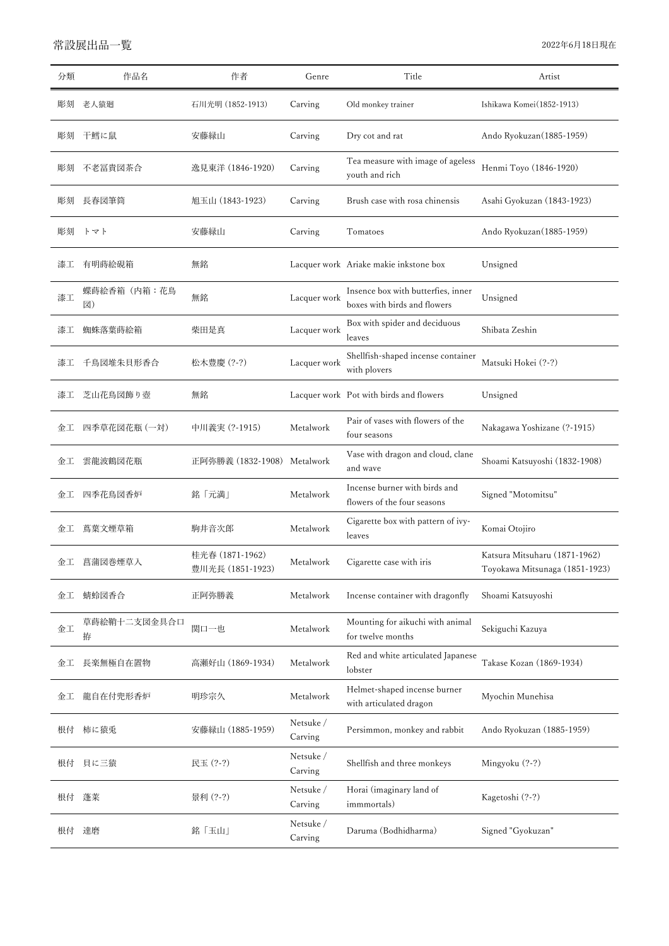| 分類 | 作品名                | 作者                                  | Genre                | Title                                                              | Artist                                                          |
|----|--------------------|-------------------------------------|----------------------|--------------------------------------------------------------------|-----------------------------------------------------------------|
| 彫刻 | 老人猿廻               | 石川光明 (1852-1913)                    | Carving              | Old monkey trainer                                                 | Ishikawa Komei(1852-1913)                                       |
| 彫刻 | 干鱈に鼠               | 安藤緑山                                | Carving              | Dry cot and rat                                                    | Ando Ryokuzan(1885-1959)                                        |
| 彫刻 | 不老冨貴図茶合            | 逸見東洋 (1846-1920)                    | Carving              | Tea measure with image of ageless<br>youth and rich                | Henmi Toyo (1846-1920)                                          |
| 彫刻 | 長春図筆筒              | 旭玉山 (1843-1923)                     | Carving              | Brush case with rosa chinensis                                     | Asahi Gyokuzan (1843-1923)                                      |
| 彫刻 | トマト                | 安藤緑山                                | Carving              | Tomatoes                                                           | Ando Ryokuzan(1885-1959)                                        |
| 漆工 | 有明蒔絵硯箱             | 無銘                                  |                      | Lacquer work Ariake makie inkstone box                             | Unsigned                                                        |
| 漆工 | 蝶蒔絵香箱 (内箱:花鳥<br>図) | 無銘                                  | Lacquer work         | Insence box with butterfies, inner<br>boxes with birds and flowers | Unsigned                                                        |
| 漆工 | 蜘蛛落葉蒔絵箱            | 柴田是真                                | Lacquer work         | Box with spider and deciduous<br>leaves                            | Shibata Zeshin                                                  |
| 漆工 | 千鳥図堆朱貝形香合          | 松木豊慶 (?-?)                          | Lacquer work         | Shellfish-shaped incense container<br>with plovers                 | Matsuki Hokei (?-?)                                             |
| 漆工 | 芝山花鳥図飾り壺           | 無銘                                  |                      | Lacquer work Pot with birds and flowers                            | Unsigned                                                        |
| 金工 | 四季草花図花瓶 (一対)       | 中川義実 (?-1915)                       | Metalwork            | Pair of vases with flowers of the<br>four seasons                  | Nakagawa Yoshizane (?-1915)                                     |
| 金工 | 雲龍波鶴図花瓶            | 正阿弥勝義 (1832-1908) Metalwork         |                      | Vase with dragon and cloud, clane<br>and wave                      | Shoami Katsuyoshi (1832-1908)                                   |
| 金工 | 四季花鳥図香炉            | 銘「元満」                               | Metalwork            | Incense burner with birds and<br>flowers of the four seasons       | Signed "Motomitsu"                                              |
| 金工 | 蔦葉文煙草箱             | 駒井音次郎                               | Metalwork            | Cigarette box with pattern of ivy-<br>leaves                       | Komai Otojiro                                                   |
| 金工 | 菖蒲図巻煙草入            | 桂光春 (1871-1962)<br>豊川光長 (1851-1923) | Metalwork            | Cigarette case with iris                                           | Katsura Mitsuharu (1871-1962)<br>Toyokawa Mitsunaga (1851-1923) |
| 金工 | 蜻蛉図香合              | 正阿弥勝義                               | Metalwork            | Incense container with dragonfly                                   | Shoami Katsuyoshi                                               |
| 金工 | 草蒔絵鞘十二支図金具合口<br>拵  | 関口一也                                | Metalwork            | Mounting for aikuchi with animal<br>for twelve months              | Sekiguchi Kazuya                                                |
| 金工 | 長楽無極自在置物           | 高瀬好山 (1869-1934)                    | Metalwork            | Red and white articulated Japanese<br>lobster                      | Takase Kozan (1869-1934)                                        |
| 金工 | 龍自在付兜形香炉           | 明珍宗久                                | Metalwork            | Helmet-shaped incense burner<br>with articulated dragon            | Myochin Munehisa                                                |
| 根付 | 柿に猿兎               | 安藤緑山 (1885-1959)                    | Netsuke /<br>Carving | Persimmon, monkey and rabbit                                       | Ando Ryokuzan (1885-1959)                                       |
| 根付 | 貝に三猿               | 民玉(?-?)                             | Netsuke /<br>Carving | Shellfish and three monkeys                                        | Mingyoku $(?\text{-?})$                                         |
| 根付 | 蓬莱                 | 景利 (?-?)                            | Netsuke /<br>Carving | Horai (imaginary land of<br><i>immmortals</i> )                    | Kagetoshi (?-?)                                                 |
| 根付 | 達磨                 | 銘「玉山」                               | Netsuke /<br>Carving | Daruma (Bodhidharma)                                               | Signed "Gyokuzan"                                               |